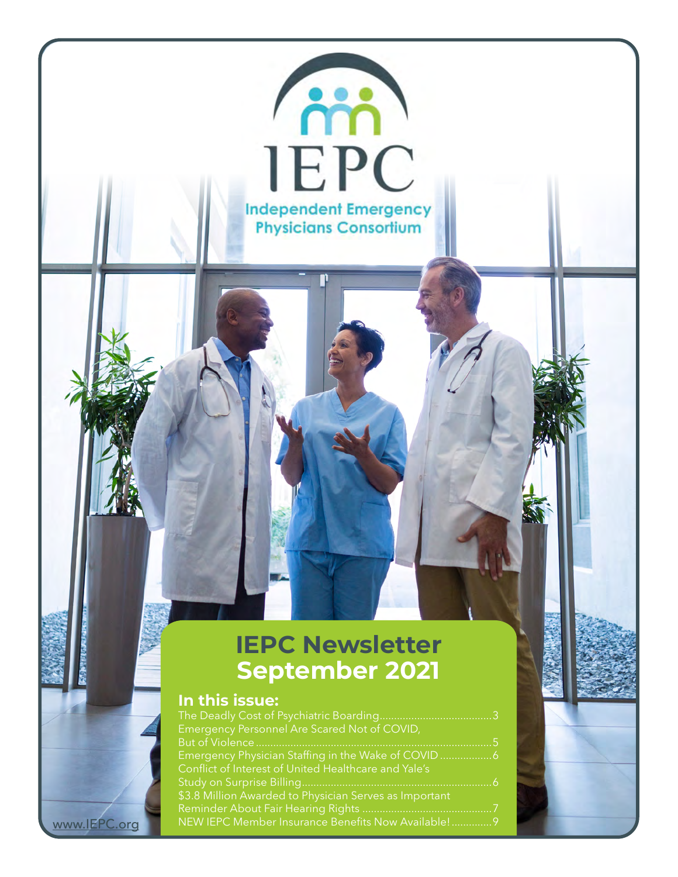#### **IEPC Newsletter September 2021**

**Contract** 

**IEPC** 

**Independent Emergency Physicians Consortium** 

#### **In this issue:**

<www.IEPC.org>

| Emergency Personnel Are Scared Not of COVID,           |  |
|--------------------------------------------------------|--|
|                                                        |  |
| Emergency Physician Staffing in the Wake of COVID 6    |  |
| Conflict of Interest of United Healthcare and Yale's   |  |
|                                                        |  |
| \$3.8 Million Awarded to Physician Serves as Important |  |
|                                                        |  |
| NEW IEPC Member Insurance Benefits Now Available! 9    |  |
|                                                        |  |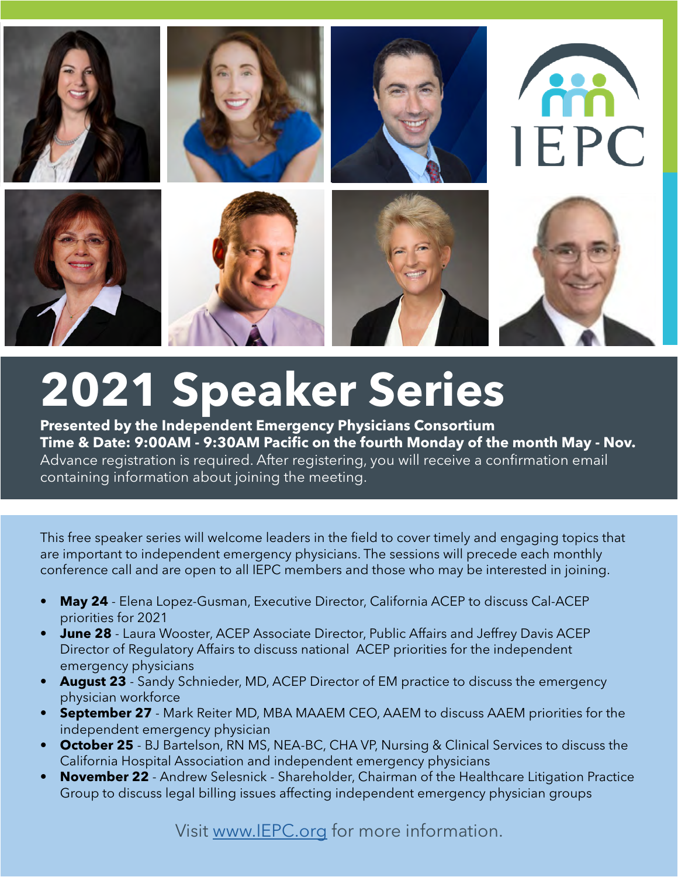

## **2021 Speaker Series**

**Presented by the Independent Emergency Physicians Consortium Time & Date: 9:00AM - 9:30AM Pacific on the fourth Monday of the month May - Nov.** Advance registration is required. After registering, you will receive a confirmation email containing information about joining the meeting.

This free speaker series will welcome leaders in the field to cover timely and engaging topics that are important to independent emergency physicians. The sessions will precede each monthly conference call and are open to all IEPC members and those who may be interested in joining.

- **• May 24** Elena Lopez-Gusman, Executive Director, California ACEP to discuss Cal-ACEP priorities for 2021
- **• June 28** Laura Wooster, ACEP Associate Director, Public Affairs and Jeffrey Davis ACEP Director of Regulatory Affairs to discuss national ACEP priorities for the independent emergency physicians
- **• August 23** Sandy Schnieder, MD, ACEP Director of EM practice to discuss the emergency physician workforce
- **• September 27** Mark Reiter MD, MBA MAAEM CEO, AAEM to discuss AAEM priorities for the independent emergency physician
- **• October 25** BJ Bartelson, RN MS, NEA-BC, CHA VP, Nursing & Clinical Services to discuss the California Hospital Association and independent emergency physicians
- **• November 22** Andrew Selesnick Shareholder, Chairman of the Healthcare Litigation Practice Group to discuss legal billing issues affecting independent emergency physician groups

Visit www.IEPC.org for more information.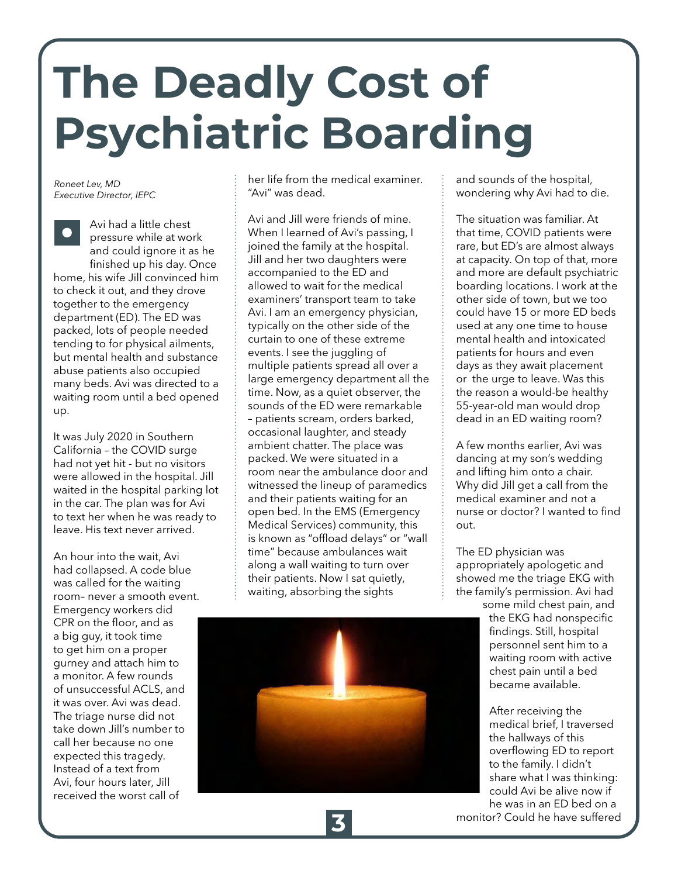# <span id="page-2-0"></span>**The Deadly Cost of Psychiatric Boarding**

*Roneet Lev, MD Executive Director, IEPC*

Avi had a little chest pressure while at work and could ignore it as he finished up his day. Once home, his wife Jill convinced him to check it out, and they drove together to the emergency department (ED). The ED was packed, lots of people needed tending to for physical ailments, but mental health and substance abuse patients also occupied many beds. Avi was directed to a waiting room until a bed opened up.

It was July 2020 in Southern California – the COVID surge had not yet hit - but no visitors were allowed in the hospital. Jill waited in the hospital parking lot in the car. The plan was for Avi to text her when he was ready to leave. His text never arrived.

An hour into the wait, Avi had collapsed. A code blue was called for the waiting room– never a smooth event. Emergency workers did CPR on the floor, and as a big guy, it took time to get him on a proper gurney and attach him to a monitor. A few rounds of unsuccessful ACLS, and it was over. Avi was dead. The triage nurse did not take down Jill's number to call her because no one expected this tragedy. Instead of a text from Avi, four hours later, Jill received the worst call of

her life from the medical examiner. "Avi" was dead.

Avi and Jill were friends of mine. When I learned of Avi's passing, I joined the family at the hospital. Jill and her two daughters were accompanied to the ED and allowed to wait for the medical examiners' transport team to take Avi. I am an emergency physician, typically on the other side of the curtain to one of these extreme events. I see the juggling of multiple patients spread all over a large emergency department all the time. Now, as a quiet observer, the sounds of the ED were remarkable – patients scream, orders barked, occasional laughter, and steady ambient chatter. The place was packed. We were situated in a room near the ambulance door and witnessed the lineup of paramedics and their patients waiting for an open bed. In the EMS (Emergency Medical Services) community, this is known as "offload delays" or "wall time" because ambulances wait along a wall waiting to turn over their patients. Now I sat quietly, waiting, absorbing the sights



and sounds of the hospital, wondering why Avi had to die.

The situation was familiar. At that time, COVID patients were rare, but ED's are almost always at capacity. On top of that, more and more are default psychiatric boarding locations. I work at the other side of town, but we too could have 15 or more ED beds used at any one time to house mental health and intoxicated patients for hours and even days as they await placement or the urge to leave. Was this the reason a would-be healthy 55-year-old man would drop dead in an ED waiting room?

A few months earlier, Avi was dancing at my son's wedding and lifting him onto a chair. Why did Jill get a call from the medical examiner and not a nurse or doctor? I wanted to find out.

The ED physician was appropriately apologetic and showed me the triage EKG with the family's permission. Avi had some mild chest pain, and

the EKG had nonspecific findings. Still, hospital personnel sent him to a waiting room with active chest pain until a bed became available.

After receiving the medical brief, I traversed the hallways of this overflowing ED to report to the family. I didn't share what I was thinking: could Avi be alive now if he was in an ED bed on a monitor? Could he have suffered **3**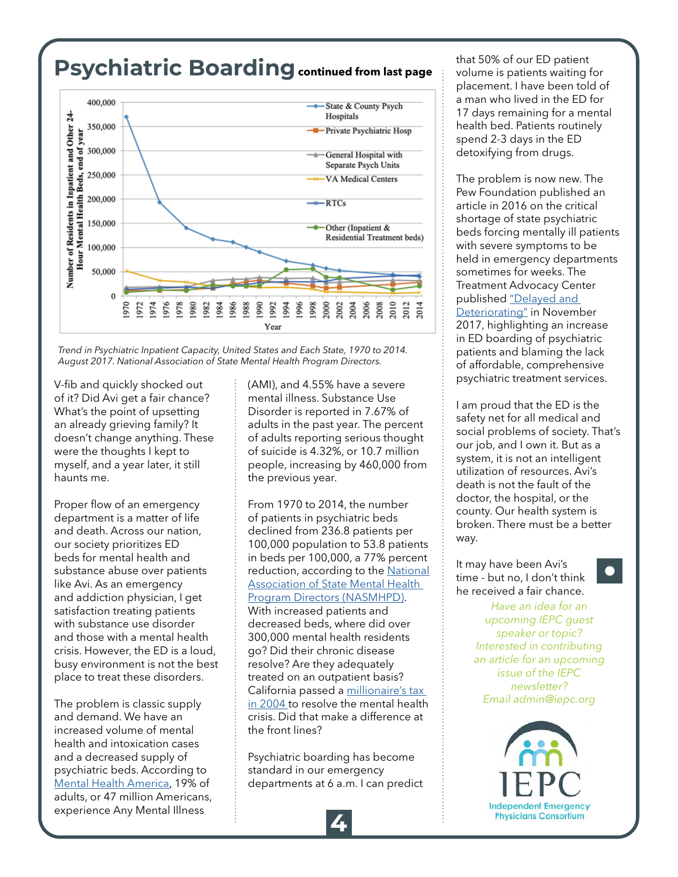#### **Psychiatric Boardingcontinued from last page**



*Trend in Psychiatric Inpatient Capacity, United States and Each State, 1970 to 2014. August 2017. National Association of State Mental Health Program Directors.* 

V-fib and quickly shocked out of it? Did Avi get a fair chance? What's the point of upsetting an already grieving family? It doesn't change anything. These were the thoughts I kept to myself, and a year later, it still haunts me.

Proper flow of an emergency department is a matter of life and death. Across our nation, our society prioritizes ED beds for mental health and substance abuse over patients like Avi. As an emergency and addiction physician, I get satisfaction treating patients with substance use disorder and those with a mental health crisis. However, the ED is a loud, busy environment is not the best place to treat these disorders.

The problem is classic supply and demand. We have an increased volume of mental health and intoxication cases and a decreased supply of psychiatric beds. According to [Mental Health America,](https://mhanational.org/issues/2021/mental-health-america-prevalence-data) 19% of adults, or 47 million Americans, experience Any Mental Illness

(AMI), and 4.55% have a severe mental illness. Substance Use Disorder is reported in 7.67% of adults in the past year. The percent of adults reporting serious thought of suicide is 4.32%, or 10.7 million people, increasing by 460,000 from the previous year.

From 1970 to 2014, the number of patients in psychiatric beds declined from 236.8 patients per 100,000 population to 53.8 patients in beds per 100,000, a 77% percent reduction, according to the [National](https://nasmhpd.org/sites/default/files/TAC.Paper_.10.Psychiatric Inpatient Capacity_Final.pdf) [Association of State Mental Health](https://nasmhpd.org/sites/default/files/TAC.Paper_.10.Psychiatric Inpatient Capacity_Final.pdf)  [Program Directors \(NASMHPD\)](https://nasmhpd.org/sites/default/files/TAC.Paper_.10.Psychiatric Inpatient Capacity_Final.pdf). With increased patients and decreased beds, where did over 300,000 mental health residents go? Did their chronic disease resolve? Are they adequately treated on an outpatient basis? California passed a [millionaire's tax](https://www.dhcs.ca.gov/services/MH/Pages/MH_Prop63.aspx)  [in 2004 t](https://www.dhcs.ca.gov/services/MH/Pages/MH_Prop63.aspx)o resolve the mental health crisis. Did that make a difference at the front lines?

Psychiatric boarding has become standard in our emergency departments at 6 a.m. I can predict that 50% of our ED patient volume is patients waiting for placement. I have been told of a man who lived in the ED for 17 days remaining for a mental health bed. Patients routinely spend 2-3 days in the ED detoxifying from drugs.

The problem is now new. The Pew Foundation published an article in 2016 on the critical shortage of state psychiatric beds forcing mentally ill patients with severe symptoms to be held in emergency departments sometimes for weeks. The Treatment Advocacy Center published ["Delayed and](https://www.treatmentadvocacycenter.org/storage/documents/backgrounders/TAC_PsychBoardingBrief.pdf)  [Deteriorating"](https://www.treatmentadvocacycenter.org/storage/documents/backgrounders/TAC_PsychBoardingBrief.pdf) in November 2017, highlighting an increase in ED boarding of psychiatric patients and blaming the lack of affordable, comprehensive psychiatric treatment services.

I am proud that the ED is the safety net for all medical and social problems of society. That's our job, and I own it. But as a system, it is not an intelligent utilization of resources. Avi's death is not the fault of the doctor, the hospital, or the county. Our health system is broken. There must be a better way.

It may have been Avi's time - but no, I don't think he received a fair chance.

> *Have an idea for an upcoming IEPC guest speaker or topic? Interested in contributing an article for an upcoming issue of the IEPC newsletter? Email [admin@iepc.org](mailto:admin%40iepc.org?subject=)*

> > **Independent Emergency Physicians Consortium**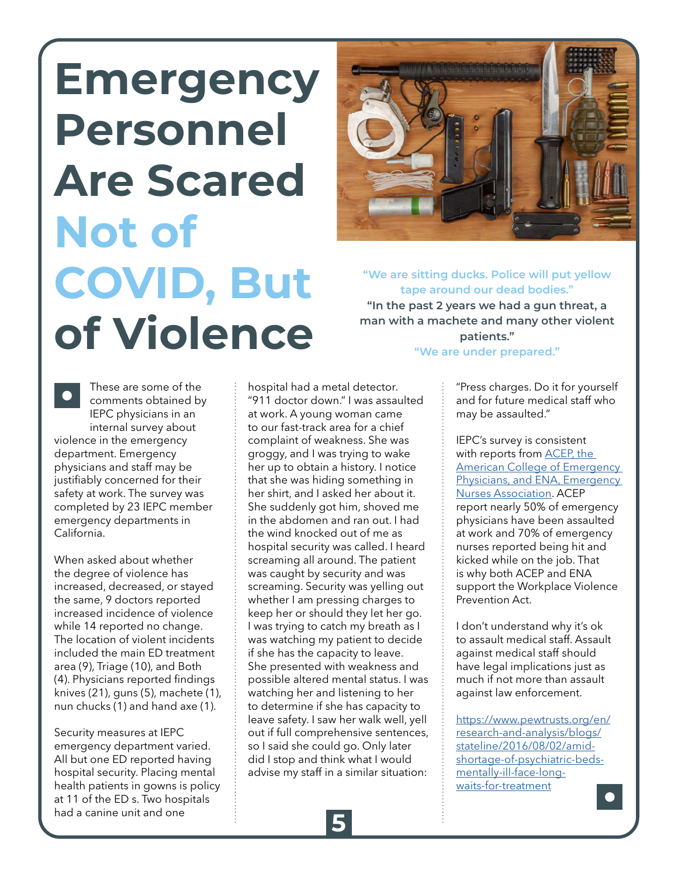## <span id="page-4-0"></span>**Emergency Personnel Are Scared Not of COVID, But of Violence**



**"We are sitting ducks. Police will put yellow tape around our dead bodies." "In the past 2 years we had a gun threat, a man with a machete and many other violent patients." "We are under prepared."**

These are some of the comments obtained by IEPC physicians in an internal survey about violence in the emergency department. Emergency physicians and staff may be justifiably concerned for their safety at work. The survey was completed by 23 IEPC member emergency departments in

When asked about whether the degree of violence has increased, decreased, or stayed the same, 9 doctors reported increased incidence of violence while 14 reported no change. The location of violent incidents included the main ED treatment area (9), Triage (10), and Both (4). Physicians reported findings knives (21), guns (5), machete (1), nun chucks (1) and hand axe (1).

California.

Security measures at IEPC emergency department varied. All but one ED reported having hospital security. Placing mental health patients in gowns is policy at 11 of the ED s. Two hospitals had a canine unit and one

hospital had a metal detector. "911 doctor down." I was assaulted at work. A young woman came to our fast-track area for a chief complaint of weakness. She was groggy, and I was trying to wake her up to obtain a history. I notice that she was hiding something in her shirt, and I asked her about it. She suddenly got him, shoved me in the abdomen and ran out. I had the wind knocked out of me as hospital security was called. I heard screaming all around. The patient was caught by security and was screaming. Security was yelling out whether I am pressing charges to keep her or should they let her go. I was trying to catch my breath as I was watching my patient to decide if she has the capacity to leave. She presented with weakness and possible altered mental status. I was watching her and listening to her to determine if she has capacity to leave safety. I saw her walk well, yell out if full comprehensive sentences, so I said she could go. Only later did I stop and think what I would advise my staff in a similar situation:

"Press charges. Do it for yourself and for future medical staff who may be assaulted."

IEPC's survey is consistent with reports from [ACEP, the](https://www.acep.org/administration/violence-in-the-emergency-department-resources-for-a-safer-workplace/)  [American College of Emergency](https://www.acep.org/administration/violence-in-the-emergency-department-resources-for-a-safer-workplace/)  [Physicians, and ENA, Emergency](https://www.acep.org/administration/violence-in-the-emergency-department-resources-for-a-safer-workplace/)  [Nurses Association](https://www.acep.org/administration/violence-in-the-emergency-department-resources-for-a-safer-workplace/). ACEP report nearly 50% of emergency physicians have been assaulted at work and 70% of emergency nurses reported being hit and kicked while on the job. That is why both ACEP and ENA support the Workplace Violence Prevention Act.

I don't understand why it's ok to assault medical staff. Assault against medical staff should have legal implications just as much if not more than assault against law enforcement.

[https://www.pewtrusts.org/en/](https://www.pewtrusts.org/en/research-and-analysis/blogs/stateline/2016/08/02/amid-shortage-of-psychiatric-beds-mentally-ill-face-long-waits-for-treatment) [research-and-analysis/blogs/](https://www.pewtrusts.org/en/research-and-analysis/blogs/stateline/2016/08/02/amid-shortage-of-psychiatric-beds-mentally-ill-face-long-waits-for-treatment) [stateline/2016/08/02/amid](https://www.pewtrusts.org/en/research-and-analysis/blogs/stateline/2016/08/02/amid-shortage-of-psychiatric-beds-mentally-ill-face-long-waits-for-treatment)[shortage-of-psychiatric-beds](https://www.pewtrusts.org/en/research-and-analysis/blogs/stateline/2016/08/02/amid-shortage-of-psychiatric-beds-mentally-ill-face-long-waits-for-treatment)[mentally-ill-face-long](https://www.pewtrusts.org/en/research-and-analysis/blogs/stateline/2016/08/02/amid-shortage-of-psychiatric-beds-mentally-ill-face-long-waits-for-treatment)[waits-for-treatment](https://www.pewtrusts.org/en/research-and-analysis/blogs/stateline/2016/08/02/amid-shortage-of-psychiatric-beds-mentally-ill-face-long-waits-for-treatment)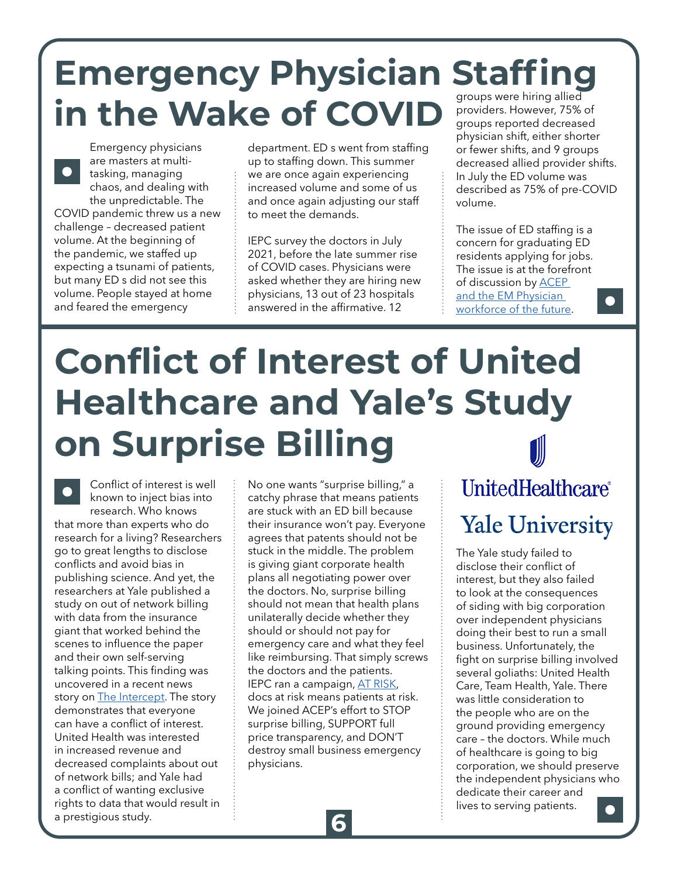### <span id="page-5-0"></span>**Emergency Physician Staffing in the Wake of COVID**

Emergency physicians are masters at multitasking, managing chaos, and dealing with the unpredictable. The COVID pandemic threw us a new challenge – decreased patient volume. At the beginning of the pandemic, we staffed up expecting a tsunami of patients, but many ED s did not see this volume. People stayed at home and feared the emergency

department. ED s went from staffing up to staffing down. This summer we are once again experiencing increased volume and some of us and once again adjusting our staff to meet the demands.

IEPC survey the doctors in July 2021, before the late summer rise of COVID cases. Physicians were asked whether they are hiring new physicians, 13 out of 23 hospitals answered in the affirmative. 12

providers. However, 75% of groups reported decreased physician shift, either shorter or fewer shifts, and 9 groups decreased allied provider shifts. In July the ED volume was described as 75% of pre-COVID volume.

The issue of ED staffing is a concern for graduating ED residents applying for jobs. The issue is at the forefront of discussion by [ACEP](https://www.acep.org/life-as-a-physician/workforce/)  [and the EM Physician](https://www.acep.org/life-as-a-physician/workforce/)  [workforce of the future.](https://www.acep.org/life-as-a-physician/workforce/)

## **Conflict of Interest of United Healthcare and Yale's Study on Surprise Billing**

Conflict of interest is well known to inject bias into research. Who knows that more than experts who do research for a living? Researchers go to great lengths to disclose conflicts and avoid bias in publishing science. And yet, the researchers at Yale published a study on out of network billing with data from the insurance giant that worked behind the scenes to influence the paper and their own self-serving talking points. This finding was uncovered in a recent news story on [The Intercept.](https://theintercept.com/2021/08/10/unitedhealthcare-yale-surprise-billing-study/) The story demonstrates that everyone can have a conflict of interest. United Health was interested in increased revenue and decreased complaints about out of network bills; and Yale had a conflict of wanting exclusive rights to data that would result in a prestigious study.

No one wants "surprise billing," a catchy phrase that means patients are stuck with an ED bill because their insurance won't pay. Everyone agrees that patents should not be stuck in the middle. The problem is giving giant corporate health plans all negotiating power over the doctors. No, surprise billing should not mean that health plans unilaterally decide whether they should or should not pay for emergency care and what they feel like reimbursing. That simply screws the doctors and the patients. IEPC ran a campaign, [AT RISK,](https://iepc.org/emergency-care-at-risk) docs at risk means patients at risk. We joined ACEP's effort to STOP surprise billing, SUPPORT full price transparency, and DON'T destroy small business emergency physicians.

### UnitedHealthcare® **Yale University**

The Yale study failed to disclose their conflict of interest, but they also failed to look at the consequences of siding with big corporation over independent physicians doing their best to run a small business. Unfortunately, the fight on surprise billing involved several goliaths: United Health Care, Team Health, Yale. There was little consideration to the people who are on the ground providing emergency care – the doctors. While much of healthcare is going to big corporation, we should preserve the independent physicians who dedicate their career and lives to serving patients.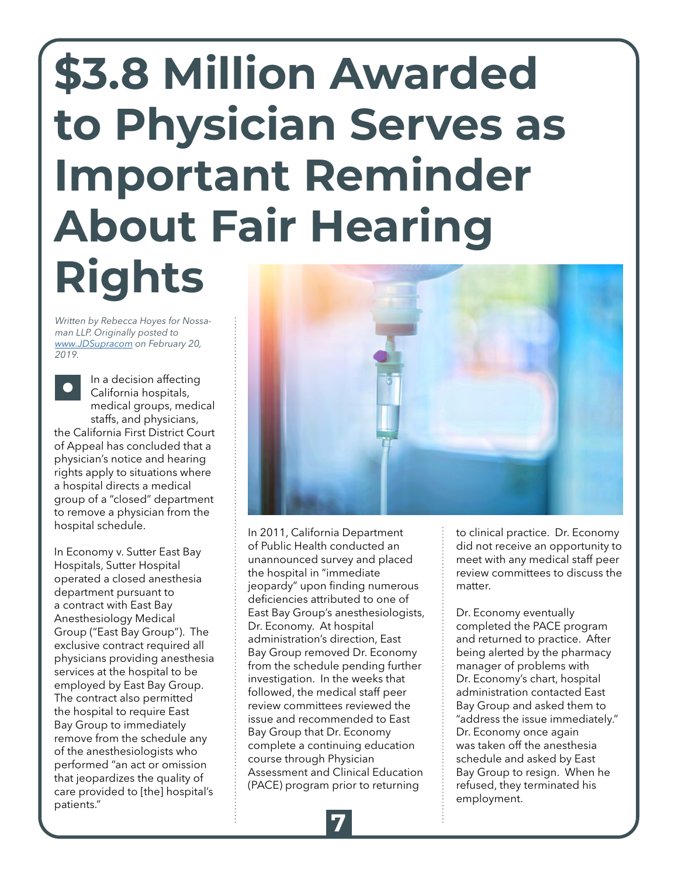## <span id="page-6-0"></span>**\$3.8 Million Awarded to Physician Serves as Important Reminder About Fair Hearing Rights**

*Written by Rebecca Hoyes for Nossaman LLP. Originally posted to [www.JDSupracom](https://www.jdsupra.com/legalnews/3-8-million-awarded-to-physician-serves-83259/) on February 20, 2019.*



In a decision affecting California hospitals, medical groups, medical staffs, and physicians, the California First District Court of Appeal has concluded that a physician's notice and hearing rights apply to situations where a hospital directs a medical group of a "closed" department to remove a physician from the hospital schedule.

In Economy v. Sutter East Bay Hospitals, Sutter Hospital operated a closed anesthesia department pursuant to a contract with East Bay Anesthesiology Medical Group ("East Bay Group"). The exclusive contract required all physicians providing anesthesia services at the hospital to be employed by East Bay Group. The contract also permitted the hospital to require East Bay Group to immediately remove from the schedule any of the anesthesiologists who performed "an act or omission that jeopardizes the quality of care provided to [the] hospital's patients."



In 2011, California Department of Public Health conducted an unannounced survey and placed the hospital in "immediate jeopardy" upon finding numerous deficiencies attributed to one of East Bay Group's anesthesiologists, Dr. Economy. At hospital administration's direction, East Bay Group removed Dr. Economy from the schedule pending further investigation. In the weeks that followed, the medical staff peer review committees reviewed the issue and recommended to East Bay Group that Dr. Economy complete a continuing education course through Physician Assessment and Clinical Education (PACE) program prior to returning

to clinical practice. Dr. Economy did not receive an opportunity to meet with any medical staff peer review committees to discuss the matter.

Dr. Economy eventually completed the PACE program and returned to practice. After being alerted by the pharmacy manager of problems with Dr. Economy's chart, hospital administration contacted East Bay Group and asked them to "address the issue immediately." Dr. Economy once again was taken off the anesthesia schedule and asked by East Bay Group to resign. When he refused, they terminated his employment.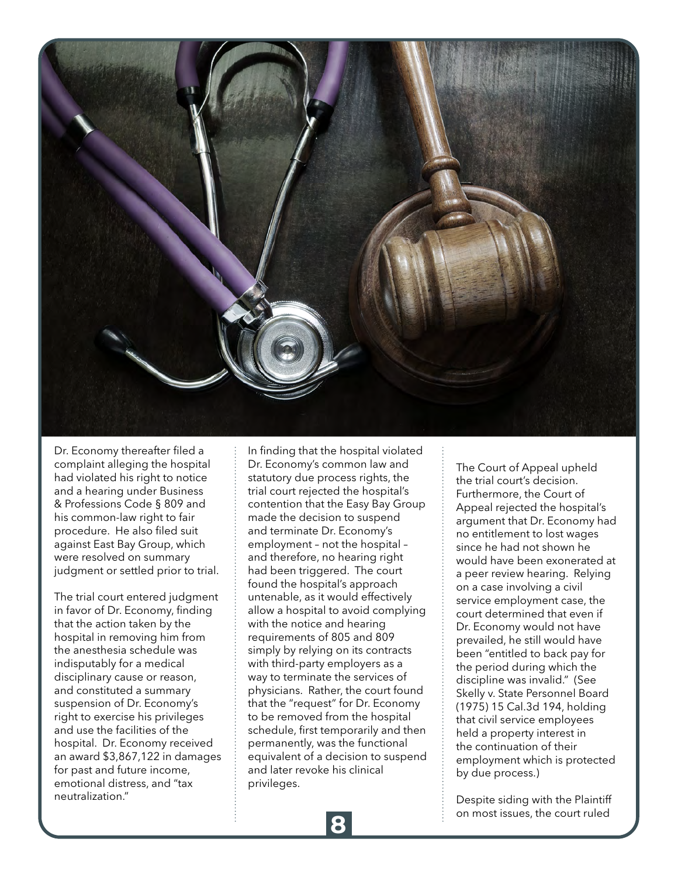

Dr. Economy thereafter filed a complaint alleging the hospital had violated his right to notice and a hearing under Business & Professions Code § 809 and his common-law right to fair procedure. He also filed suit against East Bay Group, which were resolved on summary judgment or settled prior to trial.

The trial court entered judgment in favor of Dr. Economy, finding that the action taken by the hospital in removing him from the anesthesia schedule was indisputably for a medical disciplinary cause or reason, and constituted a summary suspension of Dr. Economy's right to exercise his privileges and use the facilities of the hospital. Dr. Economy received an award \$3,867,122 in damages for past and future income, emotional distress, and "tax neutralization."

In finding that the hospital violated Dr. Economy's common law and statutory due process rights, the trial court rejected the hospital's contention that the Easy Bay Group made the decision to suspend and terminate Dr. Economy's employment – not the hospital – and therefore, no hearing right had been triggered. The court found the hospital's approach untenable, as it would effectively allow a hospital to avoid complying with the notice and hearing requirements of 805 and 809 simply by relying on its contracts with third-party employers as a way to terminate the services of physicians. Rather, the court found that the "request" for Dr. Economy to be removed from the hospital schedule, first temporarily and then permanently, was the functional equivalent of a decision to suspend and later revoke his clinical privileges.

The Court of Appeal upheld the trial court's decision. Furthermore, the Court of Appeal rejected the hospital's argument that Dr. Economy had no entitlement to lost wages since he had not shown he would have been exonerated at a peer review hearing. Relying on a case involving a civil service employment case, the court determined that even if Dr. Economy would not have prevailed, he still would have been "entitled to back pay for the period during which the discipline was invalid." (See Skelly v. State Personnel Board (1975) 15 Cal.3d 194, holding that civil service employees held a property interest in the continuation of their employment which is protected by due process.)

Despite siding with the Plaintiff on most issues, the court ruled